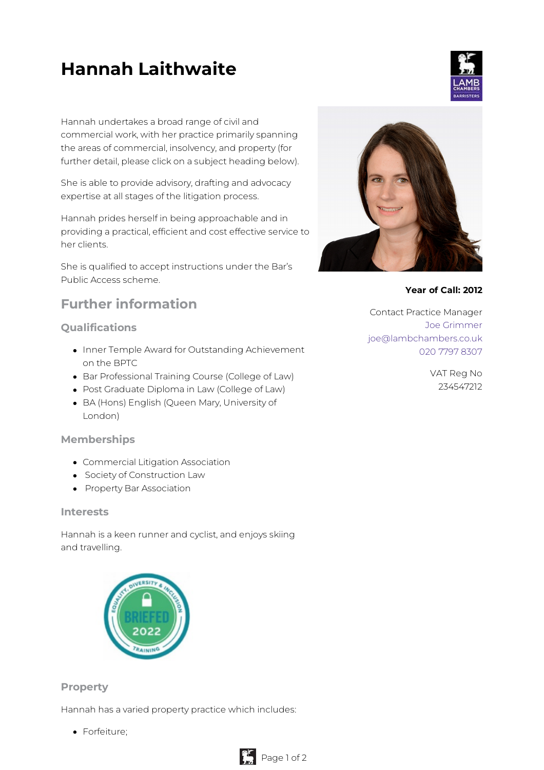# **Hannah Laithwaite**

Hannah undertakes a broad range of civil and commercial work, with her practice primarily spanning the areas of commercial, insolvency, and property (for further detail, please click on a subject heading below).

She is able to provide advisory, drafting and advocacy expertise at all stages of the litigation process.

Hannah prides herself in being approachable and in providing a practical, efficient and cost effective service to her clients.

She is qualified to accept instructions under the Bar's Public Access scheme.

# **Further information**

## **Qualifications**

- Inner Temple Award for Outstanding Achievement on the BPTC
- Bar Professional Training Course (College of Law)
- Post Graduate Diploma in Law (College of Law)
- BA (Hons) English (Queen Mary, University of London)

### **Memberships**

- Commercial Litigation Association
- **•** Society of Construction Law
- **•** Property Bar Association

#### **Interests**

Hannah is a keen runner and cyclist, and enjoys skiing and travelling.

| <b>ERSI</b><br>O <sub>f</sub> | <b>A INCLUS</b> |
|-------------------------------|-----------------|
| 2022                          |                 |
|                               |                 |

### **Property**

Hannah has a varied property practice which includes:

• Forfeiture:



#### **Year of Call: 2012**

Contact Practice Manager Joe [Grimmer](mailto:joe@lambchambers.co.uk) [joe@lambchambers.co.uk](mailto:joe@lambchambers.co.uk) 020 7797 [8307](tel:020%207797%208307)

> VAT Reg No 234547212